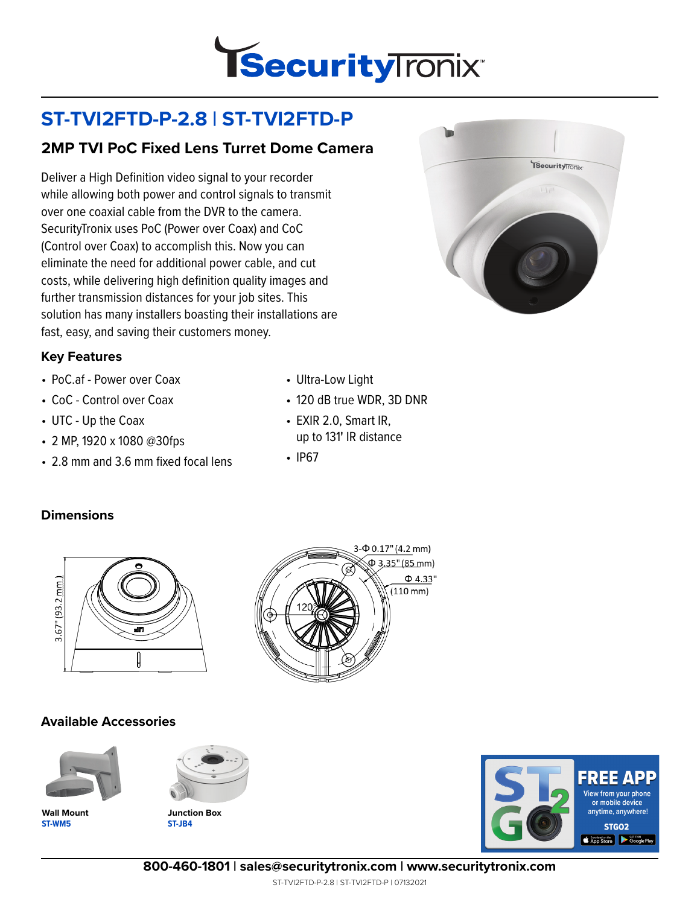

# **ST-TVI2FTD-P-2.8 | ST-TVI2FTD-P**

## **2MP TVI PoC Fixed Lens Turret Dome Camera**

Deliver a High Definition video signal to your recorder while allowing both power and control signals to transmit over one coaxial cable from the DVR to the camera. SecurityTronix uses PoC (Power over Coax) and CoC (Control over Coax) to accomplish this. Now you can eliminate the need for additional power cable, and cut costs, while delivering high definition quality images and further transmission distances for your job sites. This solution has many installers boasting their installations are fast, easy, and saving their customers money.

#### **Key Features**

- PoC.af Power over Coax
- CoC Control over Coax
- UTC Up the Coax
- 2 MP, 1920 x 1080 @30fps
- 2.8 mm and 3.6 mm fixed focal lens
- Ultra-Low Light
- 120 dB true WDR, 3D DNR
- EXIR 2.0, Smart IR, up to 131**'** IR distance
- IP67

#### **Dimensions**



#### **Available Accessories**



**ST-WM5 Wall Mount**



**ST-JB4 Junction Box**